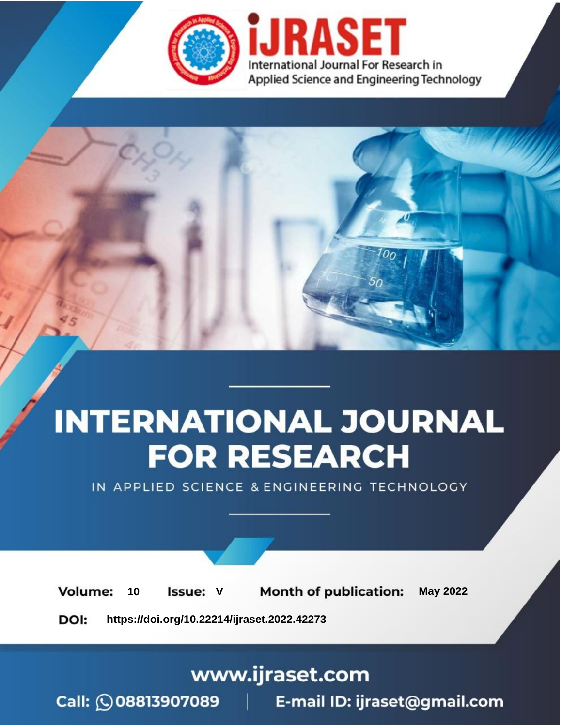

# **INTERNATIONAL JOURNAL FOR RESEARCH**

IN APPLIED SCIENCE & ENGINEERING TECHNOLOGY

Volume: **Month of publication: May 2022** 10 **Issue: V** 

DOI: https://doi.org/10.22214/ijraset.2022.42273

www.ijraset.com

Call: 008813907089 | E-mail ID: ijraset@gmail.com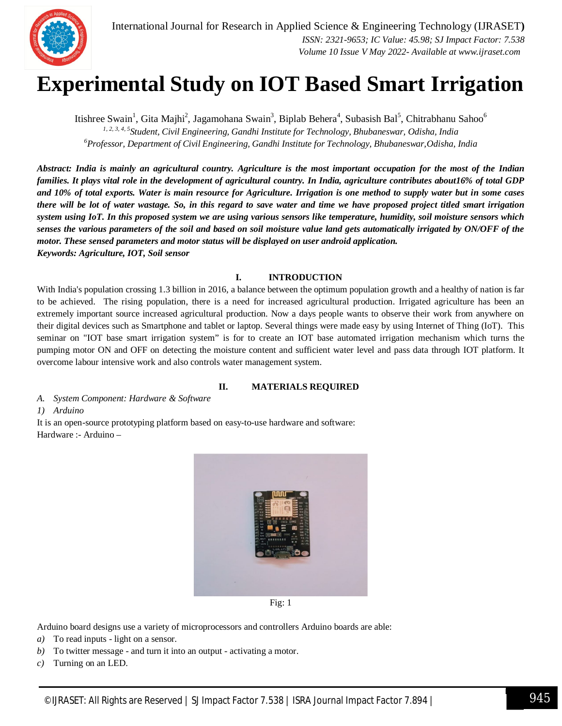### **Experimental Study on IOT Based Smart Irrigation**

Itishree Swain<sup>1</sup>, Gita Majhi<sup>2</sup>, Jagamohana Swain<sup>3</sup>, Biplab Behera<sup>4</sup>, Subasish Bal<sup>5</sup>, Chitrabhanu Sahoo<sup>6</sup> *1, 2, 3, 4, 5 Student, Civil Engineering, Gandhi Institute for Technology, Bhubaneswar, Odisha, India <sup>6</sup>Professor, Department of Civil Engineering, Gandhi Institute for Technology, Bhubaneswar,Odisha, India*

*Abstract: India is mainly an agricultural country. Agriculture is the most important occupation for the most of the Indian families. It plays vital role in the development of agricultural country. In India, agriculture contributes about16% of total GDP and 10% of total exports. Water is main resource for Agriculture. Irrigation is one method to supply water but in some cases there will be lot of water wastage. So, in this regard to save water and time we have proposed project titled smart irrigation system using IoT. In this proposed system we are using various sensors like temperature, humidity, soil moisture sensors which senses the various parameters of the soil and based on soil moisture value land gets automatically irrigated by ON/OFF of the motor. These sensed parameters and motor status will be displayed on user android application. Keywords: Agriculture, IOT, Soil sensor*

#### **I. INTRODUCTION**

With India's population crossing 1.3 billion in 2016, a balance between the optimum population growth and a healthy of nation is far to be achieved. The rising population, there is a need for increased agricultural production. Irrigated agriculture has been an extremely important source increased agricultural production. Now a days people wants to observe their work from anywhere on their digital devices such as Smartphone and tablet or laptop. Several things were made easy by using Internet of Thing (IoT). This seminar on "IOT base smart irrigation system" is for to create an IOT base automated irrigation mechanism which turns the pumping motor ON and OFF on detecting the moisture content and sufficient water level and pass data through IOT platform. It overcome labour intensive work and also controls water management system.

#### **II. MATERIALS REQUIRED**

*A. System Component: Hardware & Software* 

*1) Arduino*

It is an open-source prototyping platform based on easy-to-use hardware and software: Hardware :- Arduino –



Fig: 1

Arduino board designs use a variety of microprocessors and controllers Arduino boards are able:

- *a)* To read inputs light on a sensor.
- *b)* To twitter message and turn it into an output activating a motor.
- *c)* Turning on an LED.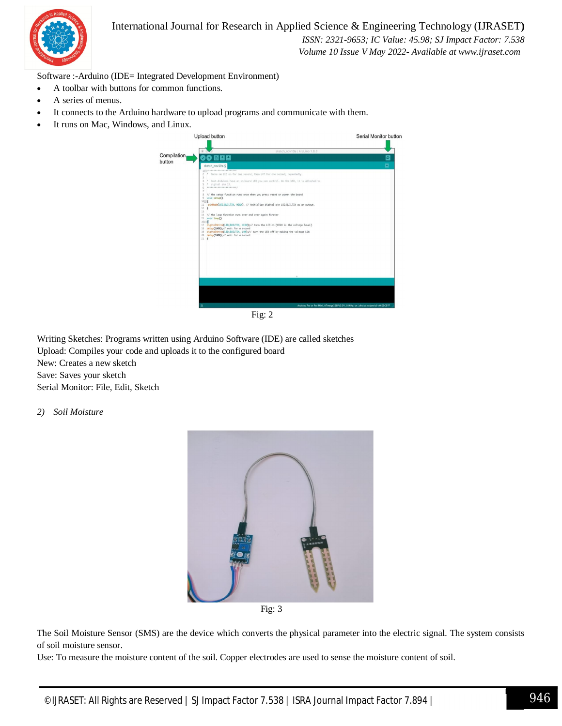

#### International Journal for Research in Applied Science & Engineering Technology (IJRASET**)**

 *ISSN: 2321-9653; IC Value: 45.98; SJ Impact Factor: 7.538 Volume 10 Issue V May 2022- Available at www.ijraset.com*

Software :-Arduino (IDE= Integrated Development Environment)

- A toolbar with buttons for common functions.
- A series of menus.
- It connects to the Arduino hardware to upload programs and communicate with them.
- It runs on Mac, Windows, and Linux.



Writing Sketches: Programs written using Arduino Software (IDE) are called sketches Upload: Compiles your code and uploads it to the configured board New: Creates a new sketch Save: Saves your sketch Serial Monitor: File, Edit, Sketch

*2) Soil Moisture*



Fig: 3

The Soil Moisture Sensor (SMS) are the device which converts the physical parameter into the electric signal. The system consists of soil moisture sensor.

Use: To measure the moisture content of the soil. Copper electrodes are used to sense the moisture content of soil.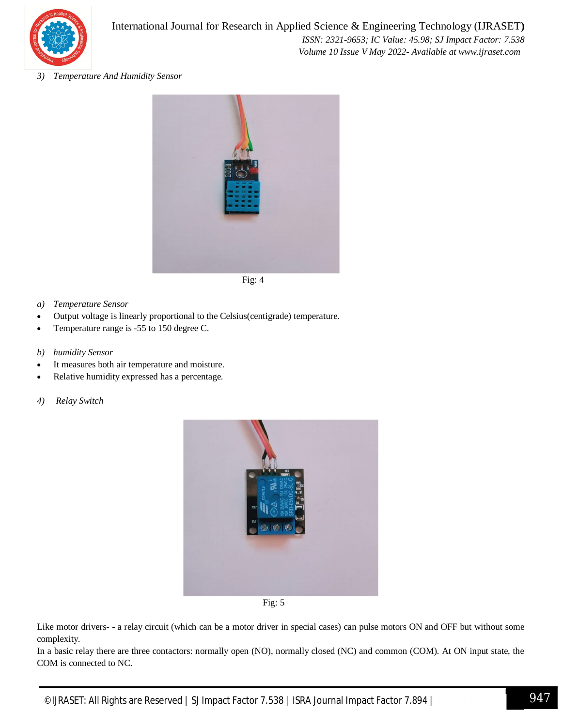

*3) Temperature And Humidity Sensor* 



- *a) Temperature Sensor*
- Output voltage is linearly proportional to the Celsius(centigrade) temperature.
- Temperature range is -55 to 150 degree C.
- *b) humidity Sensor*
- It measures both air temperature and moisture.
- Relative humidity expressed has a percentage.
- *4) Relay Switch*



Fig: 5

Like motor drivers- - a relay circuit (which can be a motor driver in special cases) can pulse motors ON and OFF but without some complexity.

In a basic relay there are three contactors: normally open (NO), normally closed (NC) and common (COM). At ON input state, the COM is connected to NC.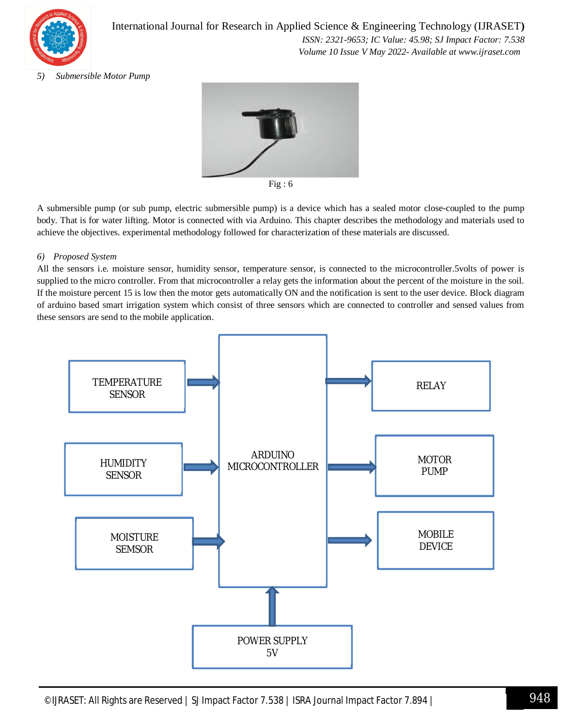

International Journal for Research in Applied Science & Engineering Technology (IJRASET**)**  *ISSN: 2321-9653; IC Value: 45.98; SJ Impact Factor: 7.538 Volume 10 Issue V May 2022- Available at www.ijraset.com*

#### *5) Submersible Motor Pump*



Fig : 6

A submersible pump (or sub pump, electric submersible pump) is a device which has a sealed motor close-coupled to the pump body. That is for water lifting. Motor is connected with via Arduino. This chapter describes the methodology and materials used to achieve the objectives. experimental methodology followed for characterization of these materials are discussed.

#### *6) Proposed System*

All the sensors i.e. moisture sensor, humidity sensor, temperature sensor, is connected to the microcontroller.5volts of power is supplied to the micro controller. From that microcontroller a relay gets the information about the percent of the moisture in the soil. If the moisture percent 15 is low then the motor gets automatically ON and the notification is sent to the user device. Block diagram of arduino based smart irrigation system which consist of three sensors which are connected to controller and sensed values from these sensors are send to the mobile application.

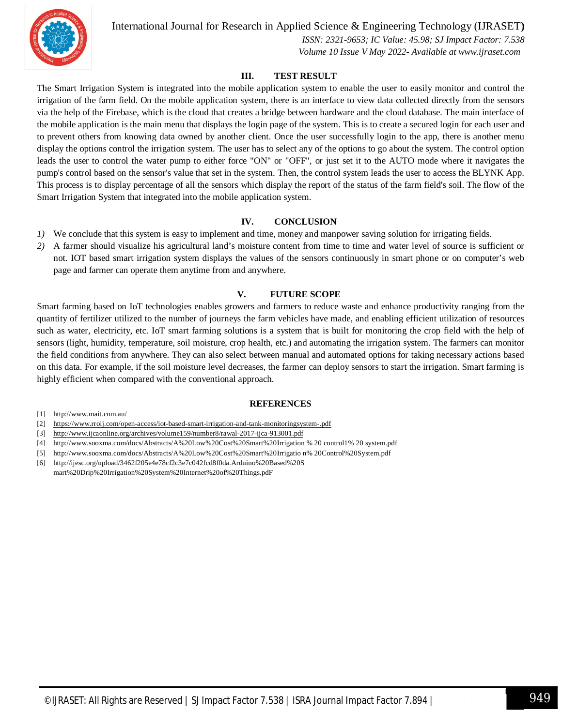

International Journal for Research in Applied Science & Engineering Technology (IJRASET**)**

 *ISSN: 2321-9653; IC Value: 45.98; SJ Impact Factor: 7.538 Volume 10 Issue V May 2022- Available at www.ijraset.com*

#### **III. TEST RESULT**

The Smart Irrigation System is integrated into the mobile application system to enable the user to easily monitor and control the irrigation of the farm field. On the mobile application system, there is an interface to view data collected directly from the sensors via the help of the Firebase, which is the cloud that creates a bridge between hardware and the cloud database. The main interface of the mobile application is the main menu that displays the login page of the system. This is to create a secured login for each user and to prevent others from knowing data owned by another client. Once the user successfully login to the app, there is another menu display the options control the irrigation system. The user has to select any of the options to go about the system. The control option leads the user to control the water pump to either force "ON" or "OFF", or just set it to the AUTO mode where it navigates the pump's control based on the sensor's value that set in the system. Then, the control system leads the user to access the BLYNK App. This process is to display percentage of all the sensors which display the report of the status of the farm field's soil. The flow of the Smart Irrigation System that integrated into the mobile application system.

#### **IV. CONCLUSION**

- *1)* We conclude that this system is easy to implement and time, money and manpower saving solution for irrigating fields.
- *2)* A farmer should visualize his agricultural land's moisture content from time to time and water level of source is sufficient or not. IOT based smart irrigation system displays the values of the sensors continuously in smart phone or on computer's web page and farmer can operate them anytime from and anywhere.

#### **V. FUTURE SCOPE**

Smart farming based on IoT technologies enables growers and farmers to reduce waste and enhance productivity ranging from the quantity of fertilizer utilized to the number of journeys the farm vehicles have made, and enabling efficient utilization of resources such as water, electricity, etc. IoT smart farming solutions is a system that is built for monitoring the crop field with the help of sensors (light, humidity, temperature, soil moisture, crop health, etc.) and automating the irrigation system. The farmers can monitor the field conditions from anywhere. They can also select between manual and automated options for taking necessary actions based on this data. For example, if the soil moisture level decreases, the farmer can deploy sensors to start the irrigation. Smart farming is highly efficient when compared with the conventional approach.

#### **REFERENCES**

- [1] http://www.mait.com.au/
- [2] https://www.rroij.com/open-access/iot-based-smart-irrigation-and-tank-monitoringsystem-.pdf
- [3] http://www.ijcaonline.org/archives/volume159/number8/rawal-2017-ijca-913001.pdf
- [4] http://www.sooxma.com/docs/Abstracts/A%20Low%20Cost%20Smart%20Irrigation % 20 control1% 20 system.pdf
- [5] http://www.sooxma.com/docs/Abstracts/A%20Low%20Cost%20Smart%20Irrigatio n% 20Control%20System.pdf
- [6] http://ijesc.org/upload/3462f205e4e78cf2c3e7c042fcd8f0da.Arduino%20Based%20S mart%20Drip%20Irrigation%20System%20Internet%20of%20Things.pdF